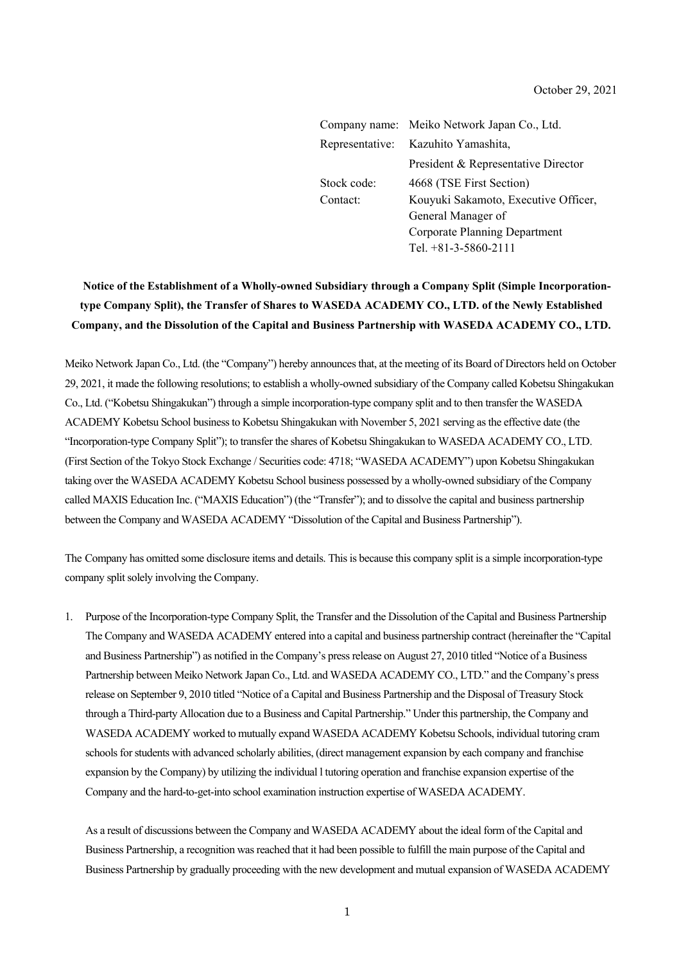|             | Company name: Meiko Network Japan Co., Ltd. |  |
|-------------|---------------------------------------------|--|
|             | Representative: Kazuhito Yamashita,         |  |
|             | President & Representative Director         |  |
| Stock code: | 4668 (TSE First Section)                    |  |
| Contact:    | Kouyuki Sakamoto, Executive Officer,        |  |
|             | General Manager of                          |  |
|             | <b>Corporate Planning Department</b>        |  |
|             | Tel. $+81-3-5860-2111$                      |  |

# **Notice of the Establishment of a Wholly-owned Subsidiary through a Company Split (Simple Incorporationtype Company Split), the Transfer of Shares to WASEDA ACADEMY CO., LTD. of the Newly Established Company, and the Dissolution of the Capital and Business Partnership with WASEDA ACADEMY CO., LTD.**

Meiko Network Japan Co., Ltd. (the "Company") hereby announces that, at the meeting of its Board of Directors held on October 29, 2021, it made the following resolutions; to establish a wholly-owned subsidiary of the Company called Kobetsu Shingakukan Co., Ltd. ("Kobetsu Shingakukan") through a simple incorporation-type company split and to then transfer the WASEDA ACADEMY Kobetsu School business to Kobetsu Shingakukan with November 5, 2021 serving as the effective date (the "Incorporation-type Company Split"); to transfer the shares of Kobetsu Shingakukan to WASEDA ACADEMY CO., LTD. (First Section of the Tokyo Stock Exchange / Securities code: 4718; "WASEDA ACADEMY") upon Kobetsu Shingakukan taking over the WASEDA ACADEMY Kobetsu School business possessed by a wholly-owned subsidiary of the Company called MAXIS Education Inc. ("MAXIS Education") (the "Transfer"); and to dissolve the capital and business partnership between the Company and WASEDA ACADEMY "Dissolution of the Capital and Business Partnership").

The Company has omitted some disclosure items and details. This is because this company split is a simple incorporation-type company split solely involving the Company.

1. Purpose of the Incorporation-type Company Split, the Transfer and the Dissolution of the Capital and Business Partnership The Company and WASEDA ACADEMY entered into a capital and business partnership contract (hereinafter the "Capital and Business Partnership") as notified in the Company's press release on August 27, 2010 titled "Notice of a Business Partnership between Meiko Network Japan Co., Ltd. and WASEDA ACADEMY CO., LTD." and the Company's press release on September 9, 2010 titled "Notice of a Capital and Business Partnership and the Disposal of Treasury Stock through a Third-party Allocation due to a Business and Capital Partnership." Under this partnership, the Company and WASEDA ACADEMY worked to mutually expand WASEDA ACADEMY Kobetsu Schools, individual tutoring cram schools for students with advanced scholarly abilities, (direct management expansion by each company and franchise expansion by the Company) by utilizing the individual l tutoring operation and franchise expansion expertise of the Company and the hard-to-get-into school examination instruction expertise of WASEDA ACADEMY.

As a result of discussions between the Company and WASEDA ACADEMY about the ideal form of the Capital and Business Partnership, a recognition was reached that it had been possible to fulfill the main purpose of the Capital and Business Partnership by gradually proceeding with the new development and mutual expansion of WASEDA ACADEMY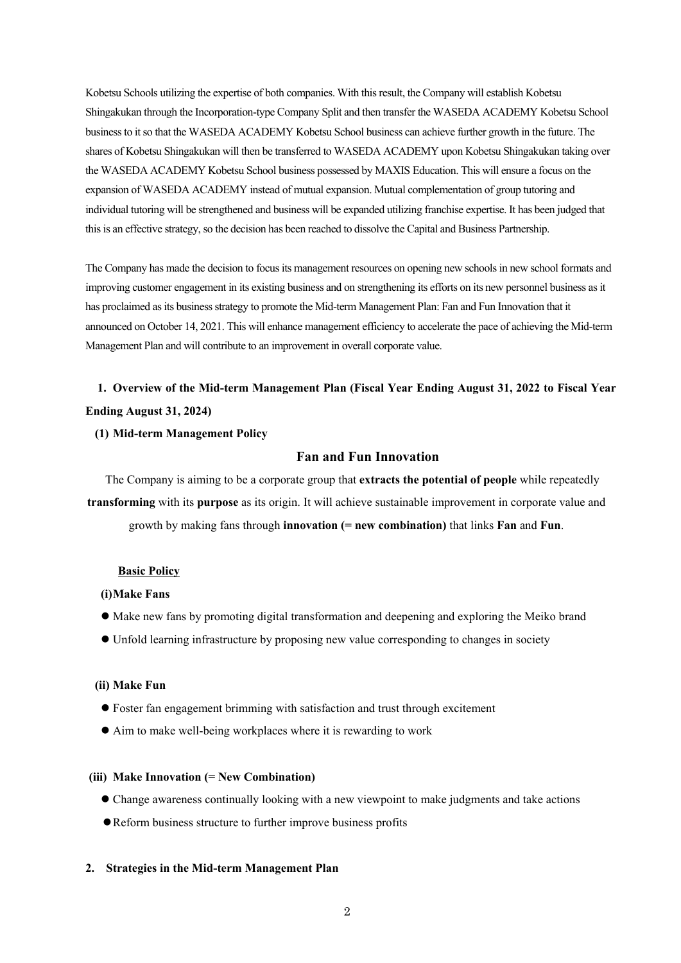Kobetsu Schools utilizing the expertise of both companies. With this result, the Company will establish Kobetsu Shingakukan through the Incorporation-type Company Split and then transfer the WASEDA ACADEMY Kobetsu School business to it so that the WASEDA ACADEMY Kobetsu School business can achieve further growth in the future. The shares of Kobetsu Shingakukan will then be transferred to WASEDA ACADEMY upon Kobetsu Shingakukan taking over the WASEDA ACADEMY Kobetsu School business possessed by MAXIS Education. This will ensure a focus on the expansion of WASEDA ACADEMY instead of mutual expansion. Mutual complementation of group tutoring and individual tutoring will be strengthened and business will be expanded utilizing franchise expertise. It has been judged that this is an effective strategy, so the decision has been reached to dissolve the Capital and Business Partnership.

The Company has made the decision to focus its management resources on opening new schools in new school formats and improving customer engagement in its existing business and on strengthening its efforts on its new personnel business as it has proclaimed as its business strategy to promote the Mid-term Management Plan: Fan and Fun Innovation that it announced on October 14, 2021. This will enhance management efficiency to accelerate the pace of achieving the Mid-term Management Plan and will contribute to an improvement in overall corporate value.

# **1. Overview of the Mid-term Management Plan (Fiscal Year Ending August 31, 2022 to Fiscal Year Ending August 31, 2024)**

#### **(1) Mid-term Management Policy**

# **Fan and Fun Innovation**

The Company is aiming to be a corporate group that **extracts the potential of people** while repeatedly **transforming** with its **purpose** as its origin. It will achieve sustainable improvement in corporate value and growth by making fans through **innovation (= new combination)** that links **Fan** and **Fun**.

#### **Basic Policy**

#### **(i)Make Fans**

- Make new fans by promoting digital transformation and deepening and exploring the Meiko brand
- Unfold learning infrastructure by proposing new value corresponding to changes in society

#### **(ii) Make Fun**

- Foster fan engagement brimming with satisfaction and trust through excitement
- Aim to make well-being workplaces where it is rewarding to work

# **(iii) Make Innovation (= New Combination)**

- Change awareness continually looking with a new viewpoint to make judgments and take actions
- Reform business structure to further improve business profits

## **2. Strategies in the Mid-term Management Plan**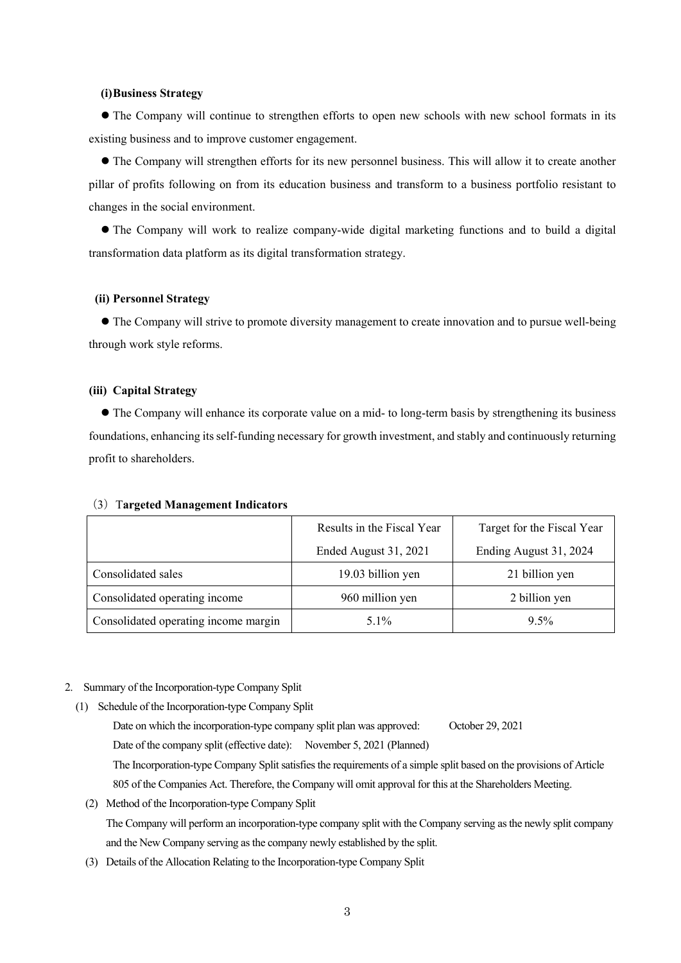#### **(i)Business Strategy**

 The Company will continue to strengthen efforts to open new schools with new school formats in its existing business and to improve customer engagement.

 The Company will strengthen efforts for its new personnel business. This will allow it to create another pillar of profits following on from its education business and transform to a business portfolio resistant to changes in the social environment.

 The Company will work to realize company-wide digital marketing functions and to build a digital transformation data platform as its digital transformation strategy.

## **(ii) Personnel Strategy**

 The Company will strive to promote diversity management to create innovation and to pursue well-being through work style reforms.

#### **(iii) Capital Strategy**

 The Company will enhance its corporate value on a mid- to long-term basis by strengthening its business foundations, enhancing its self-funding necessary for growth investment, and stably and continuously returning profit to shareholders.

#### (3)T**argeted Management Indicators**

|                                      | Results in the Fiscal Year | Target for the Fiscal Year |  |
|--------------------------------------|----------------------------|----------------------------|--|
|                                      | Ended August 31, 2021      | Ending August 31, 2024     |  |
| Consolidated sales                   | 19.03 billion yen          | 21 billion yen             |  |
| Consolidated operating income        | 960 million yen            | 2 billion yen              |  |
| Consolidated operating income margin | $5.1\%$                    | $9.5\%$                    |  |

#### 2. Summary of the Incorporation-type Company Split

- (1) Schedule of the Incorporation-type Company Split
	- Date on which the incorporation-type company split plan was approved: October 29, 2021 Date of the company split (effective date): November 5, 2021 (Planned) The Incorporation-type Company Split satisfies the requirements of a simple split based on the provisions of Article 805 of the Companies Act. Therefore, the Company will omit approval for this at the Shareholders Meeting.
	- (2) Method of the Incorporation-type Company Split The Company will perform an incorporation-type company split with the Company serving as the newly split company and the New Company serving as the company newly established by the split.
	- (3) Details of the Allocation Relating to the Incorporation-type Company Split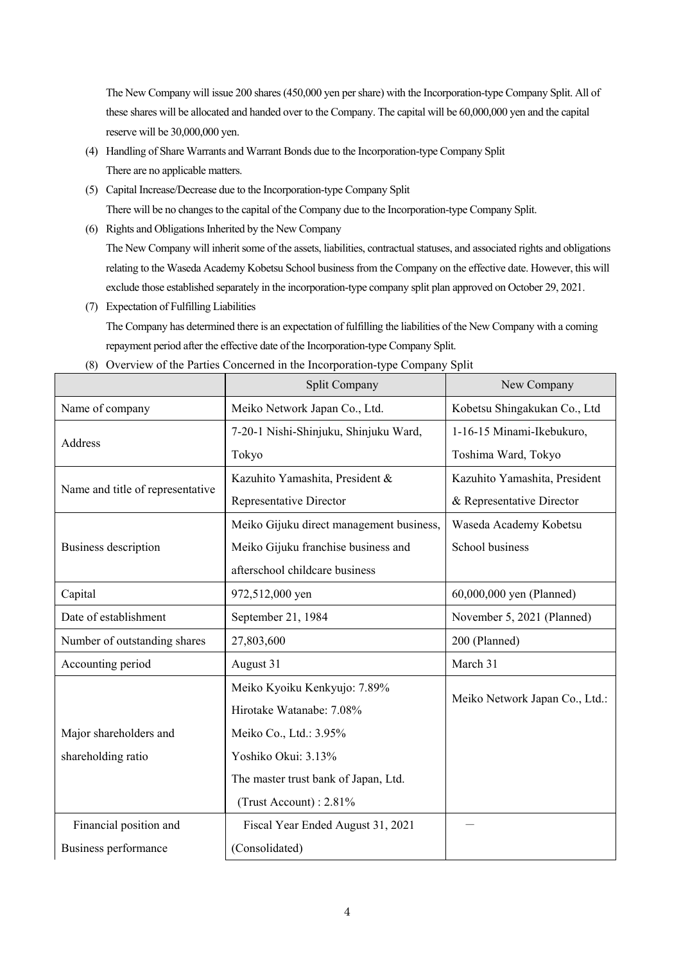The New Company will issue 200 shares (450,000 yen per share) with the Incorporation-type Company Split. All of these shares will be allocated and handed over to the Company. The capital will be 60,000,000 yen and the capital reserve will be 30,000,000 yen.

- (4) Handling of Share Warrants and Warrant Bonds due to the Incorporation-type Company Split There are no applicable matters.
- (5) Capital Increase/Decrease due to the Incorporation-type Company Split There will be no changes to the capital of the Company due to the Incorporation-type Company Split.
- (6) Rights and Obligations Inherited by the New Company

The New Company will inherit some of the assets, liabilities, contractual statuses, and associated rights and obligations relating to the Waseda Academy Kobetsu School business from the Company on the effective date. However, this will exclude those established separately in the incorporation-type company split plan approved on October 29, 2021.

(7) Expectation of Fulfilling Liabilities

The Company has determined there is an expectation of fulfilling the liabilities of the New Company with a coming repayment period after the effective date of the Incorporation-type Company Split.

|                                  | Split Company                            | New Company                    |  |
|----------------------------------|------------------------------------------|--------------------------------|--|
| Name of company                  | Meiko Network Japan Co., Ltd.            | Kobetsu Shingakukan Co., Ltd   |  |
| Address                          | 7-20-1 Nishi-Shinjuku, Shinjuku Ward,    | 1-16-15 Minami-Ikebukuro,      |  |
|                                  | Tokyo                                    | Toshima Ward, Tokyo            |  |
| Name and title of representative | Kazuhito Yamashita, President &          | Kazuhito Yamashita, President  |  |
|                                  | Representative Director                  | & Representative Director      |  |
|                                  | Meiko Gijuku direct management business, | Waseda Academy Kobetsu         |  |
| <b>Business description</b>      | Meiko Gijuku franchise business and      | School business                |  |
|                                  | afterschool childcare business           |                                |  |
| Capital                          | 972,512,000 yen                          | 60,000,000 yen (Planned)       |  |
| Date of establishment            | September 21, 1984                       | November 5, 2021 (Planned)     |  |
| Number of outstanding shares     | 27,803,600                               | 200 (Planned)                  |  |
| Accounting period                | August 31                                | March 31                       |  |
|                                  | Meiko Kyoiku Kenkyujo: 7.89%             |                                |  |
|                                  | Hirotake Watanabe: 7.08%                 | Meiko Network Japan Co., Ltd.: |  |
| Major shareholders and           | Meiko Co., Ltd.: 3.95%                   |                                |  |
| shareholding ratio               | Yoshiko Okui: 3.13%                      |                                |  |
|                                  | The master trust bank of Japan, Ltd.     |                                |  |
|                                  | (Trust Account): 2.81%                   |                                |  |
| Financial position and           | Fiscal Year Ended August 31, 2021        |                                |  |
| Business performance             | (Consolidated)                           |                                |  |

(8) Overview of the Parties Concerned in the Incorporation-type Company Split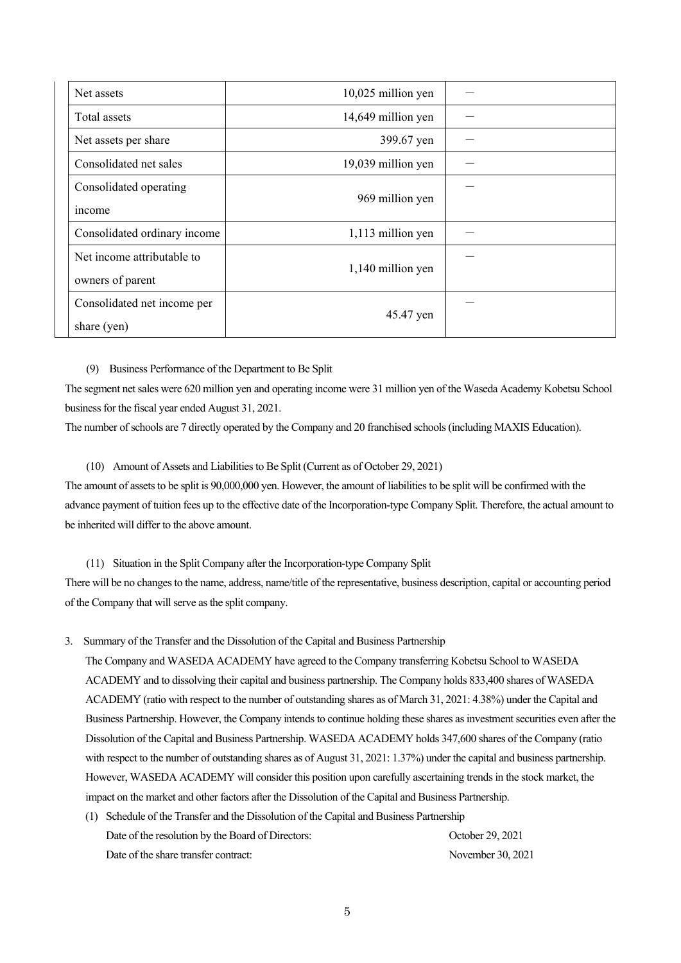| Net assets                                     | 10,025 million yen |  |
|------------------------------------------------|--------------------|--|
| Total assets                                   | 14,649 million yen |  |
| Net assets per share                           | 399.67 yen         |  |
| Consolidated net sales                         | 19,039 million yen |  |
| Consolidated operating<br>income               | 969 million yen    |  |
| Consolidated ordinary income                   | 1,113 million yen  |  |
| Net income attributable to<br>owners of parent | 1,140 million yen  |  |
| Consolidated net income per<br>share (yen)     | 45.47 yen          |  |

#### (9) Business Performance of the Department to Be Split

The segment net sales were 620 million yen and operating income were 31 million yen of the Waseda Academy Kobetsu School business for the fiscal year ended August 31, 2021.

The number of schools are 7 directly operated by the Company and 20 franchised schools (including MAXIS Education).

#### (10) Amount of Assets and Liabilities to Be Split (Current as of October 29, 2021)

The amount of assets to be split is 90,000,000 yen. However, the amount of liabilities to be split will be confirmed with the advance payment of tuition fees up to the effective date of the Incorporation-type Company Split. Therefore, the actual amount to be inherited will differ to the above amount.

## (11) Situation in the Split Company after the Incorporation-type Company Split

There will be no changes to the name, address, name/title of the representative, business description, capital or accounting period of the Company that will serve as the split company.

3. Summary of the Transfer and the Dissolution of the Capital and Business Partnership

The Company and WASEDA ACADEMY have agreed to the Company transferring Kobetsu School to WASEDA ACADEMY and to dissolving their capital and business partnership. The Company holds 833,400 shares of WASEDA ACADEMY (ratio with respect to the number of outstanding shares as of March 31, 2021: 4.38%) under the Capital and Business Partnership. However, the Company intends to continue holding these shares as investment securities even after the Dissolution of the Capital and Business Partnership. WASEDA ACADEMY holds 347,600 shares of the Company (ratio with respect to the number of outstanding shares as of August 31, 2021: 1.37%) under the capital and business partnership. However, WASEDA ACADEMY will consider this position upon carefully ascertaining trends in the stock market, the impact on the market and other factors after the Dissolution of the Capital and Business Partnership.

(1) Schedule of the Transfer and the Dissolution of the Capital and Business Partnership Date of the resolution by the Board of Directors: October 29, 2021 Date of the share transfer contract: November 30, 2021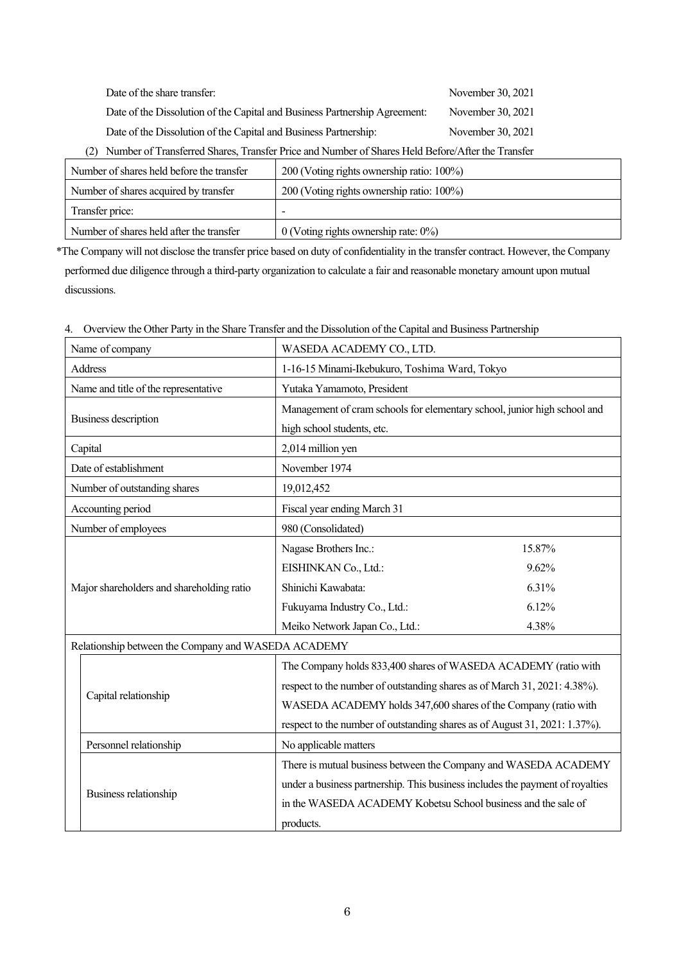| Date of the share transfer:                                                                                                                                                                                                                                                                                                                                                                            | November 30, 2021                                                                                                                                                                                                                                                                                                                                       |
|--------------------------------------------------------------------------------------------------------------------------------------------------------------------------------------------------------------------------------------------------------------------------------------------------------------------------------------------------------------------------------------------------------|---------------------------------------------------------------------------------------------------------------------------------------------------------------------------------------------------------------------------------------------------------------------------------------------------------------------------------------------------------|
| Date of the Dissolution of the Capital and Business Partnership Agreement:                                                                                                                                                                                                                                                                                                                             | November 30, 2021                                                                                                                                                                                                                                                                                                                                       |
| Date of the Dissolution of the Capital and Business Partnership:<br>$\mathbb{R}$ $\mathbb{R}$ $\mathbb{R}$ $\mathbb{R}$ $\mathbb{R}$ $\mathbb{R}$ $\mathbb{R}$ $\mathbb{R}$ $\mathbb{R}$ $\mathbb{R}$ $\mathbb{R}$ $\mathbb{R}$ $\mathbb{R}$ $\mathbb{R}$ $\mathbb{R}$ $\mathbb{R}$ $\mathbb{R}$ $\mathbb{R}$ $\mathbb{R}$ $\mathbb{R}$ $\mathbb{R}$ $\mathbb{R}$ $\mathbb{R}$ $\mathbb{R}$ $\mathbb{$ | November 30, 2021<br>$\mathbf{r}$ $\mathbf{r}$ $\mathbf{r}$ $\mathbf{r}$ $\mathbf{r}$ $\mathbf{r}$ $\mathbf{r}$ $\mathbf{r}$ $\mathbf{r}$ $\mathbf{r}$ $\mathbf{r}$ $\mathbf{r}$ $\mathbf{r}$ $\mathbf{r}$ $\mathbf{r}$ $\mathbf{r}$ $\mathbf{r}$ $\mathbf{r}$ $\mathbf{r}$ $\mathbf{r}$ $\mathbf{r}$ $\mathbf{r}$ $\mathbf{r}$ $\mathbf{r}$ $\mathbf{$ |

(2) Number of Transferred Shares, Transfer Price and Number of Shares Held Before/After the Transfer

| Number of shares held before the transfer | 200 (Voting rights ownership ratio: 100%)  |  |
|-------------------------------------------|--------------------------------------------|--|
| Number of shares acquired by transfer     | 200 (Voting rights ownership ratio: 100%)  |  |
| Transfer price:                           |                                            |  |
| Number of shares held after the transfer  | $0$ (Voting rights ownership rate: $0\%$ ) |  |

\*The Company will not disclose the transfer price based on duty of confidentiality in the transfer contract. However, the Company performed due diligence through a third-party organization to calculate a fair and reasonable monetary amount upon mutual discussions.

| Name of company                                     | WASEDA ACADEMY CO., LTD.                                                      |        |  |
|-----------------------------------------------------|-------------------------------------------------------------------------------|--------|--|
| Address                                             | 1-16-15 Minami-Ikebukuro, Toshima Ward, Tokyo                                 |        |  |
| Name and title of the representative                | Yutaka Yamamoto, President                                                    |        |  |
|                                                     | Management of cram schools for elementary school, junior high school and      |        |  |
| Business description                                | high school students, etc.                                                    |        |  |
| Capital                                             | 2,014 million yen                                                             |        |  |
| Date of establishment                               | November 1974                                                                 |        |  |
| Number of outstanding shares                        | 19,012,452                                                                    |        |  |
| Accounting period                                   | Fiscal year ending March 31                                                   |        |  |
| Number of employees                                 | 980 (Consolidated)                                                            |        |  |
|                                                     | Nagase Brothers Inc.:                                                         | 15.87% |  |
|                                                     | EISHINKAN Co., Ltd.:                                                          | 9.62%  |  |
| Major shareholders and shareholding ratio           | Shinichi Kawabata:                                                            | 6.31%  |  |
|                                                     | Fukuyama Industry Co., Ltd.:                                                  | 6.12%  |  |
|                                                     | Meiko Network Japan Co., Ltd.:                                                | 4.38%  |  |
| Relationship between the Company and WASEDA ACADEMY |                                                                               |        |  |
|                                                     | The Company holds 833,400 shares of WASEDA ACADEMY (ratio with                |        |  |
|                                                     | respect to the number of outstanding shares as of March 31, 2021: 4.38%).     |        |  |
| Capital relationship                                | WASEDA ACADEMY holds 347,600 shares of the Company (ratio with                |        |  |
|                                                     | respect to the number of outstanding shares as of August 31, 2021: 1.37%).    |        |  |
| Personnel relationship                              | No applicable matters                                                         |        |  |
|                                                     | There is mutual business between the Company and WASEDA ACADEMY               |        |  |
|                                                     | under a business partnership. This business includes the payment of royalties |        |  |
| Business relationship                               | in the WASEDA ACADEMY Kobetsu School business and the sale of                 |        |  |
|                                                     | products.                                                                     |        |  |

4. Overview the Other Party in the Share Transfer and the Dissolution of the Capital and Business Partnership